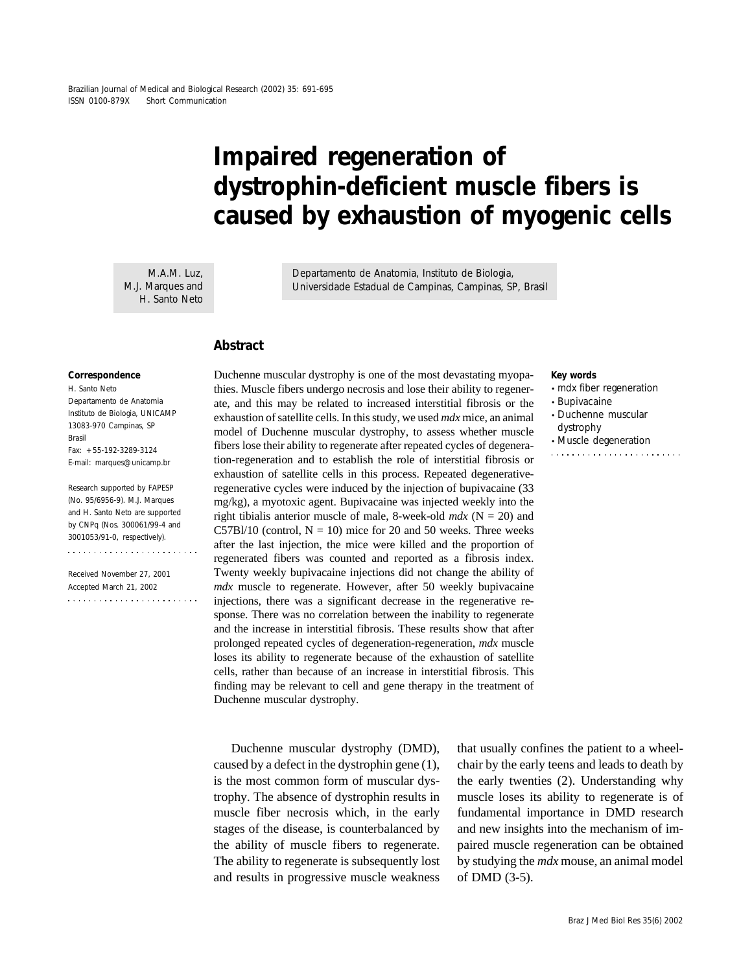# **Impaired regeneration of dystrophin-deficient muscle fibers is caused by exhaustion of myogenic cells**

M.A.M. Luz, M.J. Marques and H. Santo Neto Departamento de Anatomia, Instituto de Biologia, Universidade Estadual de Campinas, Campinas, SP, Brasil

## **Abstract**

#### **Correspondence**

H. Santo Neto Departamento de Anatomia Instituto de Biologia, UNICAMP 13083-970 Campinas, SP Brasil Fax: +55-192-3289-3124 E-mail: marques@unicamp.br

Research supported by FAPESP (No. 95/6956-9). M.J. Marques and H. Santo Neto are supported by CNPq (Nos. 300061/99-4 and 3001053/91-0, respectively).

Received November 27, 2001 Accepted March 21, 2002  Duchenne muscular dystrophy is one of the most devastating myopathies. Muscle fibers undergo necrosis and lose their ability to regenerate, and this may be related to increased interstitial fibrosis or the exhaustion of satellite cells. In this study, we used *mdx* mice, an animal model of Duchenne muscular dystrophy, to assess whether muscle fibers lose their ability to regenerate after repeated cycles of degeneration-regeneration and to establish the role of interstitial fibrosis or exhaustion of satellite cells in this process. Repeated degenerativeregenerative cycles were induced by the injection of bupivacaine (33 mg/kg), a myotoxic agent. Bupivacaine was injected weekly into the right tibialis anterior muscle of male, 8-week-old  $mdx$  (N = 20) and C57Bl/10 (control,  $N = 10$ ) mice for 20 and 50 weeks. Three weeks after the last injection, the mice were killed and the proportion of regenerated fibers was counted and reported as a fibrosis index. Twenty weekly bupivacaine injections did not change the ability of *mdx* muscle to regenerate. However, after 50 weekly bupivacaine injections, there was a significant decrease in the regenerative response. There was no correlation between the inability to regenerate and the increase in interstitial fibrosis. These results show that after prolonged repeated cycles of degeneration-regeneration, *mdx* muscle loses its ability to regenerate because of the exhaustion of satellite cells, rather than because of an increase in interstitial fibrosis. This finding may be relevant to cell and gene therapy in the treatment of Duchenne muscular dystrophy.

Duchenne muscular dystrophy (DMD), caused by a defect in the dystrophin gene (1), is the most common form of muscular dystrophy. The absence of dystrophin results in muscle fiber necrosis which, in the early stages of the disease, is counterbalanced by the ability of muscle fibers to regenerate. The ability to regenerate is subsequently lost and results in progressive muscle weakness

that usually confines the patient to a wheelchair by the early teens and leads to death by the early twenties (2). Understanding why muscle loses its ability to regenerate is of fundamental importance in DMD research and new insights into the mechanism of impaired muscle regeneration can be obtained by studying the *mdx* mouse, an animal model of DMD (3-5).

#### **Key words**

- *mdx* fiber regeneration
- Bupivacaine
- Duchenne muscular
- dystrophy • Muscle degeneration
-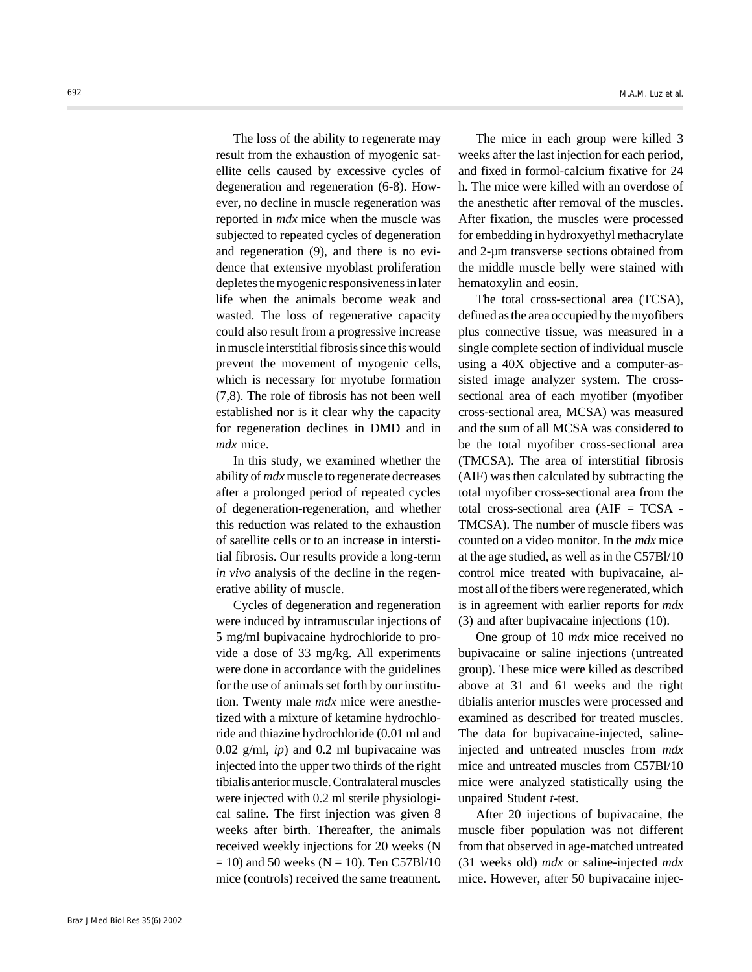The loss of the ability to regenerate may result from the exhaustion of myogenic satellite cells caused by excessive cycles of degeneration and regeneration (6-8). However, no decline in muscle regeneration was reported in *mdx* mice when the muscle was subjected to repeated cycles of degeneration and regeneration (9), and there is no evidence that extensive myoblast proliferation depletes the myogenic responsiveness in later life when the animals become weak and wasted. The loss of regenerative capacity could also result from a progressive increase in muscle interstitial fibrosis since this would prevent the movement of myogenic cells, which is necessary for myotube formation (7,8). The role of fibrosis has not been well established nor is it clear why the capacity for regeneration declines in DMD and in *mdx* mice.

In this study, we examined whether the ability of *mdx* muscle to regenerate decreases after a prolonged period of repeated cycles of degeneration-regeneration, and whether this reduction was related to the exhaustion of satellite cells or to an increase in interstitial fibrosis. Our results provide a long-term *in vivo* analysis of the decline in the regenerative ability of muscle.

Cycles of degeneration and regeneration were induced by intramuscular injections of 5 mg/ml bupivacaine hydrochloride to provide a dose of 33 mg/kg. All experiments were done in accordance with the guidelines for the use of animals set forth by our institution. Twenty male *mdx* mice were anesthetized with a mixture of ketamine hydrochloride and thiazine hydrochloride (0.01 ml and 0.02 g/ml, *ip*) and 0.2 ml bupivacaine was injected into the upper two thirds of the right tibialis anterior muscle. Contralateral muscles were injected with 0.2 ml sterile physiological saline. The first injection was given 8 weeks after birth. Thereafter, the animals received weekly injections for 20 weeks (N  $= 10$ ) and 50 weeks (N = 10). Ten C57Bl/10 mice (controls) received the same treatment.

The mice in each group were killed 3 weeks after the last injection for each period, and fixed in formol-calcium fixative for 24 h. The mice were killed with an overdose of the anesthetic after removal of the muscles. After fixation, the muscles were processed for embedding in hydroxyethyl methacrylate and 2-µm transverse sections obtained from the middle muscle belly were stained with hematoxylin and eosin.

The total cross-sectional area (TCSA), defined as the area occupied by the myofibers plus connective tissue, was measured in a single complete section of individual muscle using a 40X objective and a computer-assisted image analyzer system. The crosssectional area of each myofiber (myofiber cross-sectional area, MCSA) was measured and the sum of all MCSA was considered to be the total myofiber cross-sectional area (TMCSA). The area of interstitial fibrosis (AIF) was then calculated by subtracting the total myofiber cross-sectional area from the total cross-sectional area  $(AIF = TCSA -$ TMCSA). The number of muscle fibers was counted on a video monitor. In the *mdx* mice at the age studied, as well as in the C57Bl/10 control mice treated with bupivacaine, almost all of the fibers were regenerated, which is in agreement with earlier reports for *mdx* (3) and after bupivacaine injections (10).

One group of 10 *mdx* mice received no bupivacaine or saline injections (untreated group). These mice were killed as described above at 31 and 61 weeks and the right tibialis anterior muscles were processed and examined as described for treated muscles. The data for bupivacaine-injected, salineinjected and untreated muscles from *mdx* mice and untreated muscles from C57Bl/10 mice were analyzed statistically using the unpaired Student *t*-test.

After 20 injections of bupivacaine, the muscle fiber population was not different from that observed in age-matched untreated (31 weeks old) *mdx* or saline-injected *mdx* mice. However, after 50 bupivacaine injec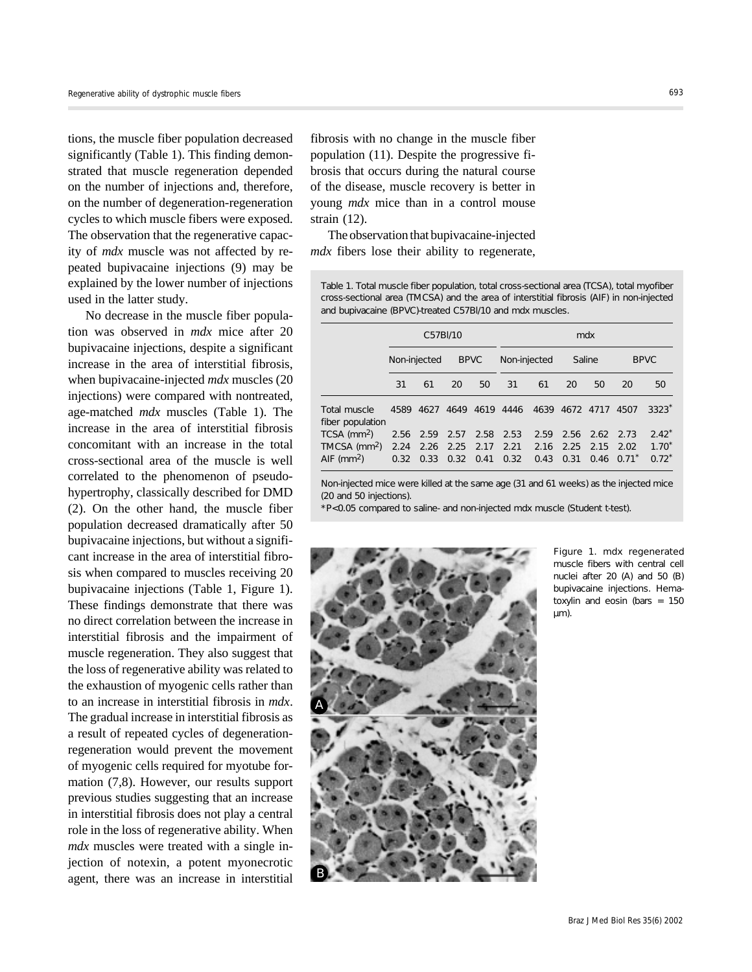tions, the muscle fiber population decreased significantly (Table 1). This finding demonstrated that muscle regeneration depended on the number of injections and, therefore, on the number of degeneration-regeneration cycles to which muscle fibers were exposed. The observation that the regenerative capacity of *mdx* muscle was not affected by repeated bupivacaine injections (9) may be explained by the lower number of injections used in the latter study.

No decrease in the muscle fiber population was observed in *mdx* mice after 20 bupivacaine injections, despite a significant increase in the area of interstitial fibrosis, when bupivacaine-injected *mdx* muscles (20 injections) were compared with nontreated, age-matched *mdx* muscles (Table 1). The increase in the area of interstitial fibrosis concomitant with an increase in the total cross-sectional area of the muscle is well correlated to the phenomenon of pseudohypertrophy, classically described for DMD (2). On the other hand, the muscle fiber population decreased dramatically after 50 bupivacaine injections, but without a significant increase in the area of interstitial fibrosis when compared to muscles receiving 20 bupivacaine injections (Table 1, Figure 1). These findings demonstrate that there was no direct correlation between the increase in interstitial fibrosis and the impairment of muscle regeneration. They also suggest that the loss of regenerative ability was related to the exhaustion of myogenic cells rather than to an increase in interstitial fibrosis in *mdx*. The gradual increase in interstitial fibrosis as a result of repeated cycles of degenerationregeneration would prevent the movement of myogenic cells required for myotube formation (7,8). However, our results support previous studies suggesting that an increase in interstitial fibrosis does not play a central role in the loss of regenerative ability. When *mdx* muscles were treated with a single injection of notexin, a potent myonecrotic agent, there was an increase in interstitial

fibrosis with no change in the muscle fiber population (11). Despite the progressive fibrosis that occurs during the natural course of the disease, muscle recovery is better in young *mdx* mice than in a control mouse strain (12).

The observation that bupivacaine-injected *mdx* fibers lose their ability to regenerate,

Table 1. Total muscle fiber population, total cross-sectional area (TCSA), total myofiber cross-sectional area (TMCSA) and the area of interstitial fibrosis (AIF) in non-injected and bupivacaine (BPVC)-treated C57Bl/10 and *mdx* muscles.

|                                  | C57BI/10     |              |              |              | mdx          |              |              |      |                         |                       |
|----------------------------------|--------------|--------------|--------------|--------------|--------------|--------------|--------------|------|-------------------------|-----------------------|
|                                  | Non-injected |              | <b>BPVC</b>  |              | Non-injected |              | Saline       |      | <b>BPVC</b>             |                       |
|                                  | 31           | 61           | 20           | 50           | 31           | 61           | 20           | 50   | 20                      | 50                    |
| Total muscle<br>fiber population | 4589         | 4627         | 4649         | 4619         | 4446         | 4639         | 4672         | 4717 | 4507                    | $3323*$               |
| $TCSA$ (mm <sup>2</sup> )        | 2.56         | 2.59         | 2.57         | 2.58         | 2.53         | 2.59         | 2.56         | 2.62 | 2.73                    | $2.42*$               |
| TMCSA $(mm2)$<br>AIF ( $mm2$ )   | 2.24<br>0.32 | 2.26<br>0.33 | 2.25<br>0.32 | 2.17<br>0.41 | 2.21<br>0.32 | 2.16<br>0.43 | 2.25<br>0.31 | 2.15 | 2.02<br>$0.46 \ 0.71$ * | $1.70^{*}$<br>$0.72*$ |

Non-injected mice were killed at the same age (31 and 61 weeks) as the injected mice (20 and 50 injections).

\*P<0.05 compared to saline- and non-injected *mdx* muscle (Student *t*-test).



Figure 1. *mdx* regenerated muscle fibers with central cell nuclei after 20 (A) and 50 (B) bupivacaine injections. Hematoxylin and eosin (bars = 150  $um)$ .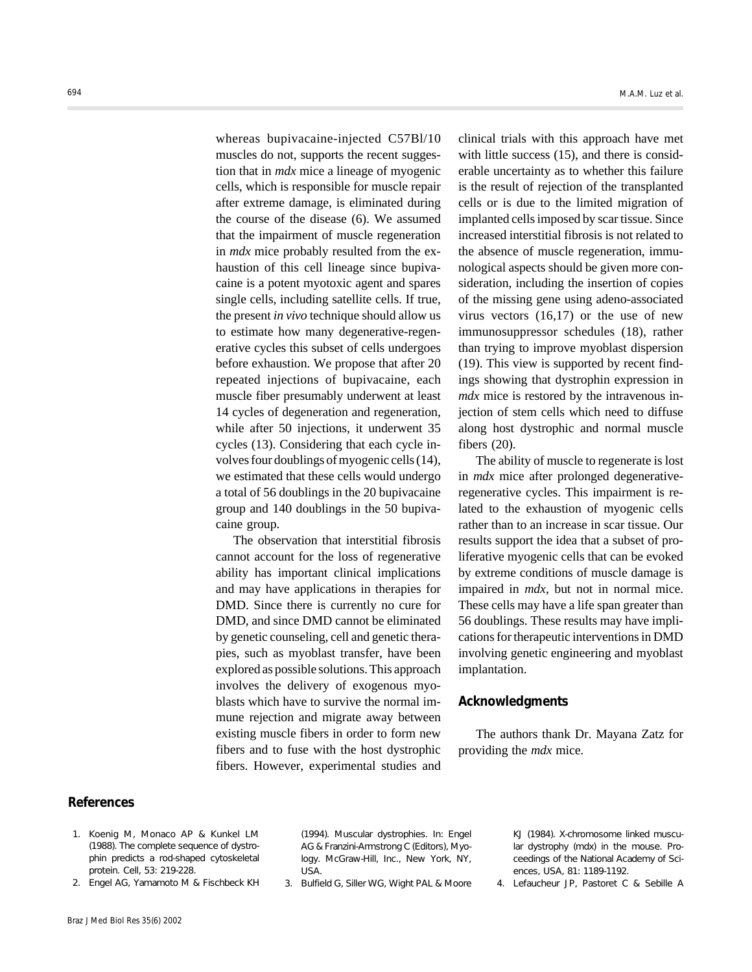whereas bupivacaine-injected C57Bl/10 muscles do not, supports the recent suggestion that in *mdx* mice a lineage of myogenic cells, which is responsible for muscle repair after extreme damage, is eliminated during the course of the disease (6). We assumed that the impairment of muscle regeneration in *mdx* mice probably resulted from the exhaustion of this cell lineage since bupivacaine is a potent myotoxic agent and spares single cells, including satellite cells. If true, the present *in vivo* technique should allow us to estimate how many degenerative-regenerative cycles this subset of cells undergoes before exhaustion. We propose that after 20 repeated injections of bupivacaine, each muscle fiber presumably underwent at least 14 cycles of degeneration and regeneration, while after 50 injections, it underwent 35 cycles (13). Considering that each cycle involves four doublings of myogenic cells (14), we estimated that these cells would undergo a total of 56 doublings in the 20 bupivacaine group and 140 doublings in the 50 bupivacaine group.

The observation that interstitial fibrosis cannot account for the loss of regenerative ability has important clinical implications and may have applications in therapies for DMD. Since there is currently no cure for DMD, and since DMD cannot be eliminated by genetic counseling, cell and genetic therapies, such as myoblast transfer, have been explored as possible solutions. This approach involves the delivery of exogenous myoblasts which have to survive the normal immune rejection and migrate away between existing muscle fibers in order to form new fibers and to fuse with the host dystrophic fibers. However, experimental studies and

clinical trials with this approach have met with little success (15), and there is considerable uncertainty as to whether this failure is the result of rejection of the transplanted cells or is due to the limited migration of implanted cells imposed by scar tissue. Since increased interstitial fibrosis is not related to the absence of muscle regeneration, immunological aspects should be given more consideration, including the insertion of copies of the missing gene using adeno-associated virus vectors  $(16,17)$  or the use of new immunosuppressor schedules (18), rather than trying to improve myoblast dispersion (19). This view is supported by recent findings showing that dystrophin expression in *mdx* mice is restored by the intravenous injection of stem cells which need to diffuse along host dystrophic and normal muscle fibers (20).

The ability of muscle to regenerate is lost in *mdx* mice after prolonged degenerativeregenerative cycles. This impairment is related to the exhaustion of myogenic cells rather than to an increase in scar tissue. Our results support the idea that a subset of proliferative myogenic cells that can be evoked by extreme conditions of muscle damage is impaired in *mdx*, but not in normal mice. These cells may have a life span greater than 56 doublings. These results may have implications for therapeutic interventions in DMD involving genetic engineering and myoblast implantation.

### **Acknowledgments**

The authors thank Dr. Mayana Zatz for providing the *mdx* mice.

## **References**

- 1. Koenig M, Monaco AP & Kunkel LM (1988). The complete sequence of dystrophin predicts a rod-shaped cytoskeletal protein. *Cell*, 53: 219-228.
- 2. Engel AG, Yamamoto M & Fischbeck KH

(1994). Muscular dystrophies. In: Engel AG & Franzini-Armstrong C (Editors), *Myology*. McGraw-Hill, Inc., New York, NY, USA.

3. Bulfield G, Siller WG, Wight PAL & Moore

KJ (1984). X-chromosome linked muscular dystrophy (*mdx*) in the mouse. *Proceedings of the National Academy of Sciences, USA*, 81: 1189-1192.

4. Lefaucheur JP, Pastoret C & Sebille A